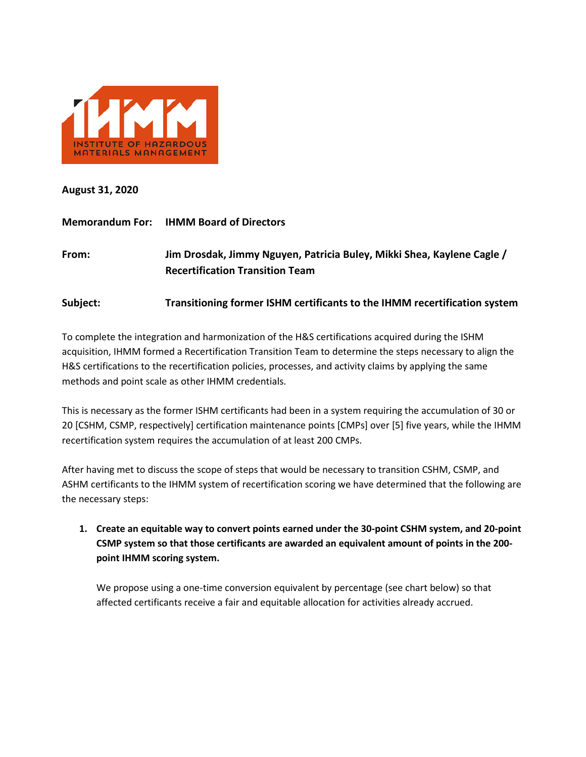

**August 31, 2020**

|          | <b>Memorandum For: IHMM Board of Directors</b>                                                                   |
|----------|------------------------------------------------------------------------------------------------------------------|
| From:    | Jim Drosdak, Jimmy Nguyen, Patricia Buley, Mikki Shea, Kaylene Cagle /<br><b>Recertification Transition Team</b> |
| Subject: | Transitioning former ISHM certificants to the IHMM recertification system                                        |

To complete the integration and harmonization of the H&S certifications acquired during the ISHM acquisition, IHMM formed a Recertification Transition Team to determine the steps necessary to align the H&S certifications to the recertification policies, processes, and activity claims by applying the same methods and point scale as other IHMM credentials.

This is necessary as the former ISHM certificants had been in a system requiring the accumulation of 30 or 20 [CSHM, CSMP, respectively] certification maintenance points [CMPs] over [5] five years, while the IHMM recertification system requires the accumulation of at least 200 CMPs.

After having met to discuss the scope of steps that would be necessary to transition CSHM, CSMP, and ASHM certificants to the IHMM system of recertification scoring we have determined that the following are the necessary steps:

**1. Create an equitable way to convert points earned under the 30-point CSHM system, and 20-point CSMP system so that those certificants are awarded an equivalent amount of points in the 200 point IHMM scoring system.**

We propose using a one-time conversion equivalent by percentage (see chart below) so that affected certificants receive a fair and equitable allocation for activities already accrued.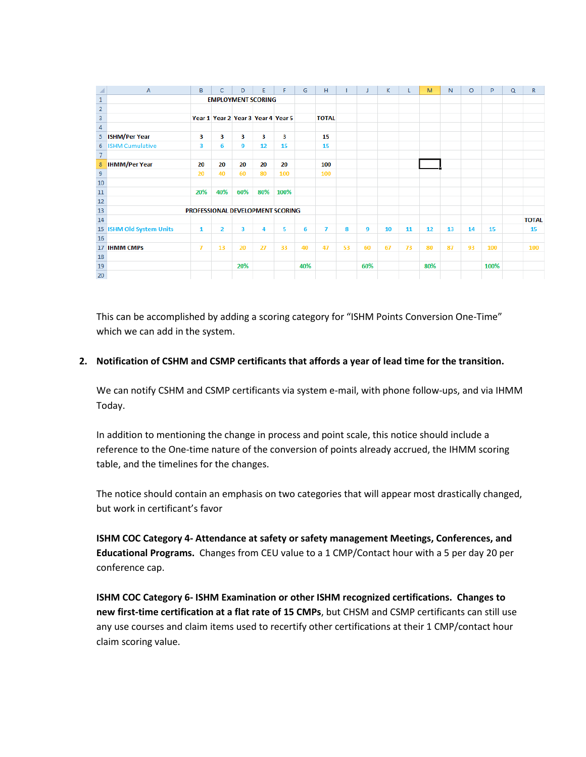| ◢                                        | $\overline{A}$                   | B                         | Ċ              | D   | E                                  | F    | G   | H              |    | J   | К  | L  | M   | N. | $\circ$ | P    | $\Omega$ | $\mathbb{R}$ |
|------------------------------------------|----------------------------------|---------------------------|----------------|-----|------------------------------------|------|-----|----------------|----|-----|----|----|-----|----|---------|------|----------|--------------|
| $\mathbf{1}$                             |                                  | <b>EMPLOYMENT SCORING</b> |                |     |                                    |      |     |                |    |     |    |    |     |    |         |      |          |              |
| $\overline{2}$                           |                                  |                           |                |     |                                    |      |     |                |    |     |    |    |     |    |         |      |          |              |
| $\overline{\mathbf{3}}$                  |                                  |                           |                |     | Year 1 Year 2 Year 3 Year 4 Year 5 |      |     | <b>TOTAL</b>   |    |     |    |    |     |    |         |      |          |              |
| $\overline{4}$                           |                                  |                           |                |     |                                    |      |     |                |    |     |    |    |     |    |         |      |          |              |
| 5                                        | <b>ISHM/Per Year</b>             | 3                         | 3              | 3   | 3                                  | 3    |     | 15             |    |     |    |    |     |    |         |      |          |              |
| 6                                        | <b>ISHM Cumulative</b>           | 3                         | 6              | 9   | 12                                 | 15   |     | 15             |    |     |    |    |     |    |         |      |          |              |
| $\overline{7}$                           |                                  |                           |                |     |                                    |      |     |                |    |     |    |    |     |    |         |      |          |              |
| $\boldsymbol{8}$                         | <b>IHMM/Per Year</b>             | 20                        | 20             | 20  | 20                                 | 20   |     | 100            |    |     |    |    |     |    |         |      |          |              |
| $\begin{array}{c}\n9 \\ 10\n\end{array}$ |                                  | 20                        | 40             | 60  | 80                                 | 100  |     | 100            |    |     |    |    |     |    |         |      |          |              |
|                                          |                                  |                           |                |     |                                    |      |     |                |    |     |    |    |     |    |         |      |          |              |
| $\overline{11}$                          |                                  | 20%                       | 40%            | 60% | 80%                                | 100% |     |                |    |     |    |    |     |    |         |      |          |              |
| 12                                       |                                  |                           |                |     |                                    |      |     |                |    |     |    |    |     |    |         |      |          |              |
| 13                                       | PROFESSIONAL DEVELOPMENT SCORING |                           |                |     |                                    |      |     |                |    |     |    |    |     |    |         |      |          |              |
| 14                                       |                                  |                           |                |     |                                    |      |     |                |    |     |    |    |     |    |         |      |          | <b>TOTAL</b> |
|                                          | 15 ISHM Old System Units         | 1                         | $\overline{2}$ | 3   | 4                                  | 5    | 6   | $\overline{I}$ | 8  | 9   | 10 | 11 | 12  | 13 | 14      | 15   |          | 15           |
| 16                                       |                                  |                           |                |     |                                    |      |     |                |    |     |    |    |     |    |         |      |          |              |
|                                          | 17 <b>IHMM CMPs</b>              | 7                         | 13             | 20  | 27                                 | 33   | 40  | 47             | 53 | 60  | 67 | 73 | 80  | 87 | 93      | 100  |          | 100          |
| 18                                       |                                  |                           |                |     |                                    |      |     |                |    |     |    |    |     |    |         |      |          |              |
| 19                                       |                                  |                           |                | 20% |                                    |      | 40% |                |    | 60% |    |    | 80% |    |         | 100% |          |              |
| 20                                       |                                  |                           |                |     |                                    |      |     |                |    |     |    |    |     |    |         |      |          |              |

This can be accomplished by adding a scoring category for "ISHM Points Conversion One-Time" which we can add in the system.

#### **2. Notification of CSHM and CSMP certificants that affords a year of lead time for the transition.**

We can notify CSHM and CSMP certificants via system e-mail, with phone follow-ups, and via IHMM Today.

In addition to mentioning the change in process and point scale, this notice should include a reference to the One-time nature of the conversion of points already accrued, the IHMM scoring table, and the timelines for the changes.

The notice should contain an emphasis on two categories that will appear most drastically changed, but work in certificant's favor

**ISHM COC Category 4- Attendance at safety or safety management Meetings, Conferences, and Educational Programs.** Changes from CEU value to a 1 CMP/Contact hour with a 5 per day 20 per conference cap.

**ISHM COC Category 6- ISHM Examination or other ISHM recognized certifications. Changes to new first-time certification at a flat rate of 15 CMPs**, but CHSM and CSMP certificants can still use any use courses and claim items used to recertify other certifications at their 1 CMP/contact hour claim scoring value.